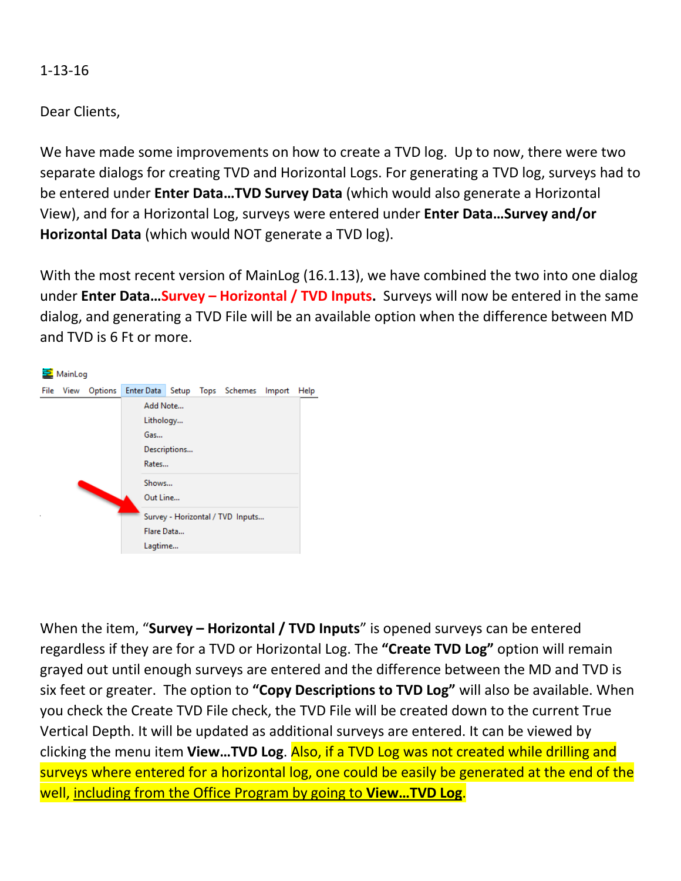1-13-16

Dear Clients,

We have made some improvements on how to create a TVD log. Up to now, there were two separate dialogs for creating TVD and Horizontal Logs. For generating a TVD log, surveys had to be entered under **Enter Data…TVD Survey Data** (which would also generate a Horizontal View), and for a Horizontal Log, surveys were entered under **Enter Data…Survey and/or Horizontal Data** (which would NOT generate a TVD log).

With the most recent version of MainLog (16.1.13), we have combined the two into one dialog under **Enter Data…Survey – Horizontal / TVD Inputs.** Surveys will now be entered in the same dialog, and generating a TVD File will be an available option when the difference between MD and TVD is 6 Ft or more.



When the item, "**Survey – Horizontal / TVD Inputs**" is opened surveys can be entered regardless if they are for a TVD or Horizontal Log. The **"Create TVD Log"** option will remain grayed out until enough surveys are entered and the difference between the MD and TVD is six feet or greater. The option to **"Copy Descriptions to TVD Log"** will also be available. When you check the Create TVD File check, the TVD File will be created down to the current True Vertical Depth. It will be updated as additional surveys are entered. It can be viewed by clicking the menu item **View…TVD Log**. Also, if a TVD Log was not created while drilling and surveys where entered for a horizontal log, one could be easily be generated at the end of the well, including from the Office Program by going to **View…TVD Log**.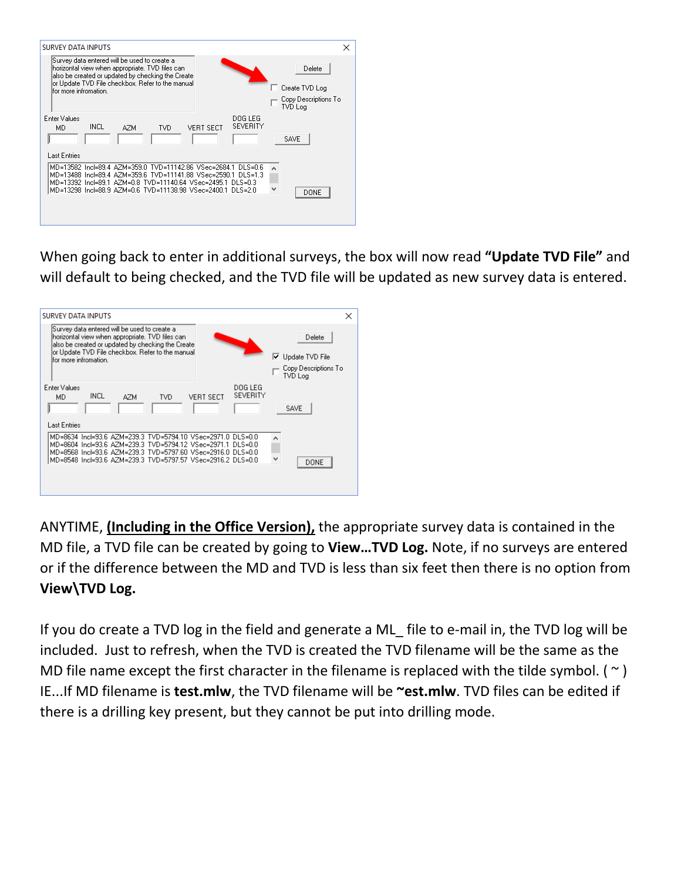| <b>SURVEY DATA INPUTS</b>                                                                                                                                                                                                                                    | ×                                                           |
|--------------------------------------------------------------------------------------------------------------------------------------------------------------------------------------------------------------------------------------------------------------|-------------------------------------------------------------|
| Survey data entered will be used to create a<br>horizontal view when appropriate. TVD files can<br>also be created or updated by checking the Create<br>or Update TVD File checkbox. Refer to the manual<br>for more infromation.                            | Delete<br>Create TVD Log<br>Copy Descriptions To<br>TVD Log |
| Enter Values<br>DOG LEG<br><b>SEVERITY</b><br>INCL<br>VERT SECT<br>MD.<br>TVD.<br>AZM<br>Last Entries                                                                                                                                                        | SAVE                                                        |
| MD=13582 Incl=89.4 AZM=359.0 TVD=11142.86 VSec=2684.1 DLS=0.6<br>MD=13488 Incl=89.4 AZM=359.6 TVD=11141.88 VSec=2590.1 DLS=1.3<br>MD=13392 Incl=89.1 AZM=0.8 TVD=11140.64 VSec=2495.1 DLS=0.3<br>MD=13298 Incl=88.9 AZM=0.6 TVD=11138.98 VSec=2400.1 DLS=2.0 | v<br>DONE                                                   |

When going back to enter in additional surveys, the box will now read **"Update TVD File"** and will default to being checked, and the TVD file will be updated as new survey data is entered.

| <b>SURVEY DATA INPUTS</b>                                                                                                                                                                                                          | ×                               |
|------------------------------------------------------------------------------------------------------------------------------------------------------------------------------------------------------------------------------------|---------------------------------|
| Survey data entered will be used to create a<br>horizontal view when appropriate. TVD files can<br>also be created or updated by checking the Create<br>or Update TVD File checkbox. Refer to the manual<br>lfor more infromation. | Delete<br>IV Update TVD File    |
|                                                                                                                                                                                                                                    | Copy Descriptions To<br>TVD Log |
| <b>Enter Values</b><br>DOG LEG<br>SEVERITY<br>INCL<br>AZM<br><b>VERT SECT</b><br>MD<br>TVD.                                                                                                                                        |                                 |
|                                                                                                                                                                                                                                    | <b>SAVE</b>                     |
| <b>Last Entries</b>                                                                                                                                                                                                                |                                 |
| MD=8634 Incl=93.6 AZM=239.3 TVD=5794.10 VSec=2971.0 DLS=0.0<br>MD=8604 Incl=93.6 AZM=239.3 TVD=5794.12 VSec=2971.1 DLS=0.0<br>MD=8568 Incl=93.6 AZM=239.3 TVD=5797.60 VSec=2916.0 DLS=0.0                                          |                                 |
| MD=8548 Incl=93.6 AZM=239.3 TVD=5797.57 VSec=2916.2 DLS=0.0                                                                                                                                                                        | v<br>DONE                       |
|                                                                                                                                                                                                                                    |                                 |
|                                                                                                                                                                                                                                    |                                 |

ANYTIME, **(Including in the Office Version),** the appropriate survey data is contained in the MD file, a TVD file can be created by going to **View…TVD Log.** Note, if no surveys are entered or if the difference between the MD and TVD is less than six feet then there is no option from **View\TVD Log.**

If you do create a TVD log in the field and generate a ML\_ file to e-mail in, the TVD log will be included. Just to refresh, when the TVD is created the TVD filename will be the same as the MD file name except the first character in the filename is replaced with the tilde symbol. ( $\sim$ ) IE...If MD filename is **test.mlw**, the TVD filename will be **~est.mlw**. TVD files can be edited if there is a drilling key present, but they cannot be put into drilling mode.